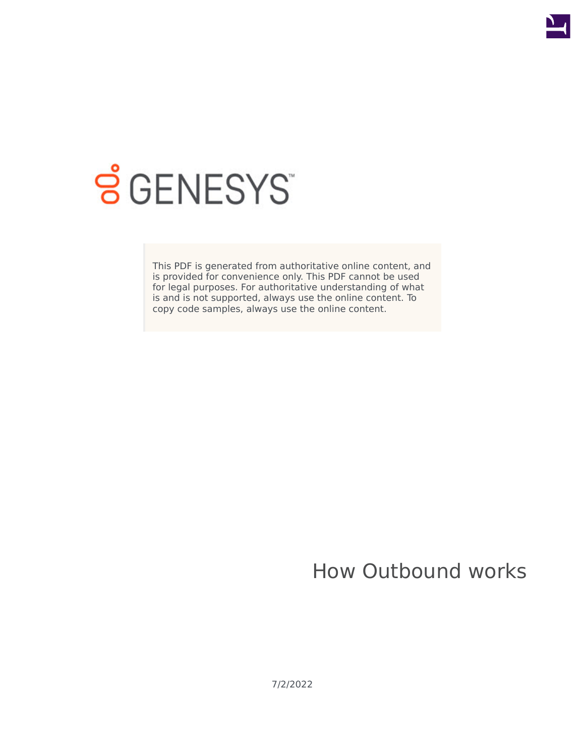

# **SGENESYS**

This PDF is generated from authoritative online content, and is provided for convenience only. This PDF cannot be used for legal purposes. For authoritative understanding of what is and is not supported, always use the online content. To copy code samples, always use the online content.

## How Outbound works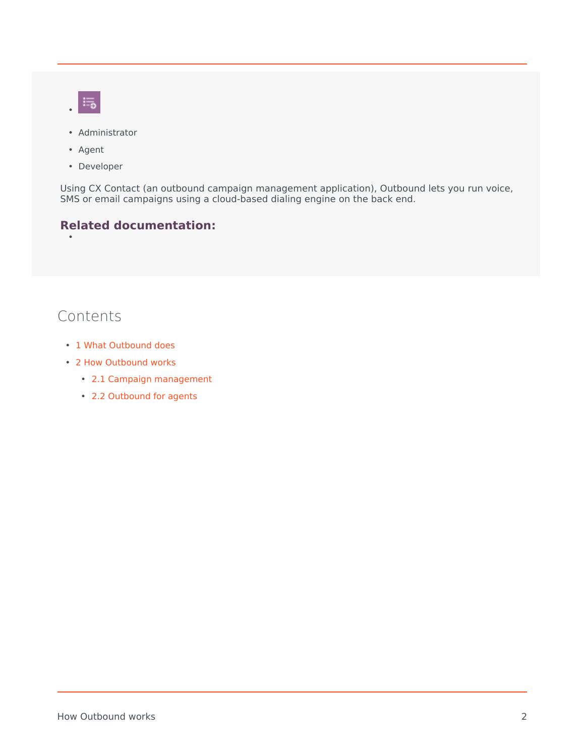- $\equiv$
- Administrator
- Agent
- Developer

Using CX Contact (an outbound campaign management application), Outbound lets you run voice, SMS or email campaigns using a cloud-based dialing engine on the back end.

#### **Related documentation:** •

#### Contents

- 1 [What Outbound does](#page-2-0)
- 2 [How Outbound works](#page-2-1)
	- 2.1 [Campaign management](#page-2-2)
	- 2.2 [Outbound for agents](#page-3-0)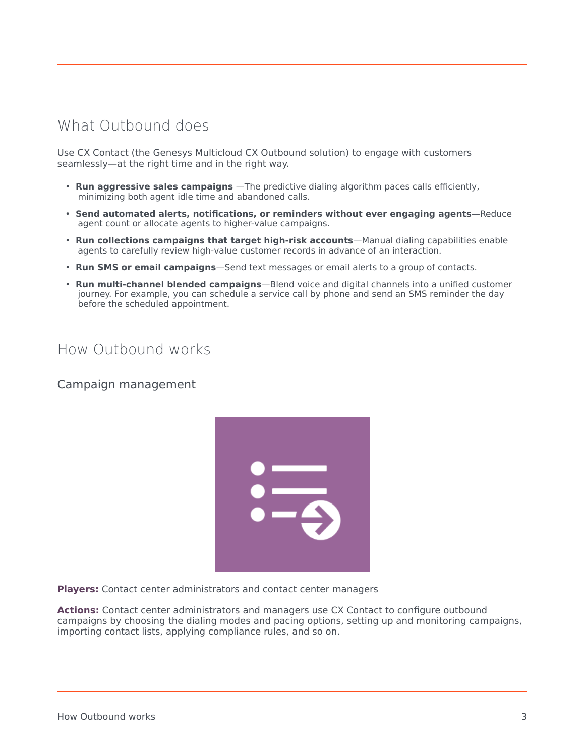### <span id="page-2-0"></span>What Outbound does

Use CX Contact (the Genesys Multicloud CX Outbound solution) to engage with customers seamlessly—at the right time and in the right way.

- **Run aggressive sales campaigns** —The predictive dialing algorithm paces calls efficiently, minimizing both agent idle time and abandoned calls.
- **Send automated alerts, notifications, or reminders without ever engaging agents**—Reduce agent count or allocate agents to higher-value campaigns.
- **Run collections campaigns that target high-risk accounts**—Manual dialing capabilities enable agents to carefully review high-value customer records in advance of an interaction.
- **Run SMS or email campaigns**—Send text messages or email alerts to a group of contacts.
- **Run multi-channel blended campaigns**—Blend voice and digital channels into a unified customer journey. For example, you can schedule a service call by phone and send an SMS reminder the day before the scheduled appointment.

#### <span id="page-2-1"></span>How Outbound works

<span id="page-2-2"></span>Campaign management



**Players:** Contact center administrators and contact center managers

**Actions:** Contact center administrators and managers use CX Contact to configure outbound campaigns by choosing the dialing modes and pacing options, setting up and monitoring campaigns, importing contact lists, applying compliance rules, and so on.